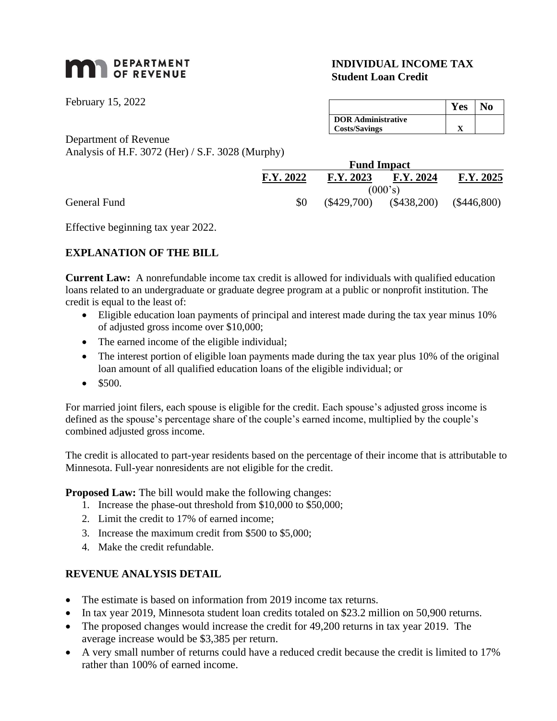# **MAN** DEPARTMENT

February 15, 2022

General Fund

# **INDIVIDUAL INCOME TAX Student Loan Credit**

|                           | Y es |  |
|---------------------------|------|--|
| <b>DOR Administrative</b> |      |  |
| <b>Costs/Savings</b>      |      |  |

Department of Revenue Analysis of H.F. 3072 (Her) / S.F. 3028 (Murphy)

| <b>Fund Impact</b> |               |               |               |
|--------------------|---------------|---------------|---------------|
| F.Y. 2022          | F.Y. 2023     | F.Y. 2024     | F.Y. 2025     |
| (000's)            |               |               |               |
| \$0                | $(\$429,700)$ | $(\$438,200)$ | $(\$446,800)$ |

Effective beginning tax year 2022.

# **EXPLANATION OF THE BILL**

**Current Law:** A nonrefundable income tax credit is allowed for individuals with qualified education loans related to an undergraduate or graduate degree program at a public or nonprofit institution. The credit is equal to the least of:

- Eligible education loan payments of principal and interest made during the tax year minus 10% of adjusted gross income over \$10,000;
- The earned income of the eligible individual;
- The interest portion of eligible loan payments made during the tax year plus 10% of the original loan amount of all qualified education loans of the eligible individual; or
- $•$  \$500.

For married joint filers, each spouse is eligible for the credit. Each spouse's adjusted gross income is defined as the spouse's percentage share of the couple's earned income, multiplied by the couple's combined adjusted gross income.

The credit is allocated to part-year residents based on the percentage of their income that is attributable to Minnesota. Full-year nonresidents are not eligible for the credit.

**Proposed Law:** The bill would make the following changes:

- 1. Increase the phase-out threshold from \$10,000 to \$50,000;
- 2. Limit the credit to 17% of earned income;
- 3. Increase the maximum credit from \$500 to \$5,000;
- 4. Make the credit refundable.

#### **REVENUE ANALYSIS DETAIL**

- The estimate is based on information from 2019 income tax returns.
- In tax year 2019, Minnesota student loan credits totaled on \$23.2 million on 50,900 returns.
- The proposed changes would increase the credit for 49,200 returns in tax year 2019. The average increase would be \$3,385 per return.
- A very small number of returns could have a reduced credit because the credit is limited to 17% rather than 100% of earned income.